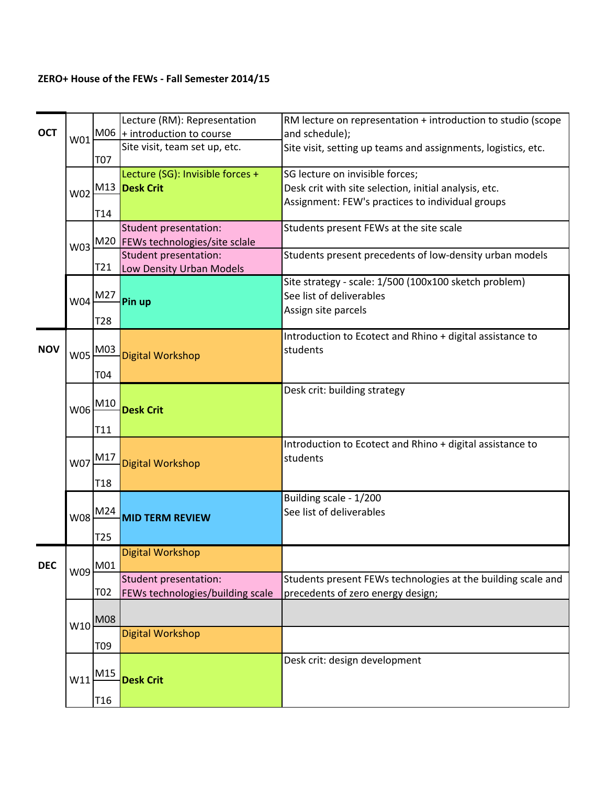## ZERO+ House of the FEWs - Fall Semester 2014/15

|            |            |                  | Lecture (RM): Representation      | RM lecture on representation + introduction to studio (scope  |
|------------|------------|------------------|-----------------------------------|---------------------------------------------------------------|
| <b>OCT</b> |            |                  | W01 M06 + introduction to course  | and schedule);                                                |
|            |            |                  | Site visit, team set up, etc.     | Site visit, setting up teams and assignments, logistics, etc. |
|            |            | T07              |                                   |                                                               |
|            |            |                  | Lecture (SG): Invisible forces +  | SG lecture on invisible forces;                               |
|            | W02        |                  | M13 Desk Crit                     | Desk crit with site selection, initial analysis, etc.         |
|            |            |                  |                                   | Assignment: FEW's practices to individual groups              |
|            |            | T14              |                                   |                                                               |
|            |            |                  | Student presentation:             | Students present FEWs at the site scale                       |
|            | W03        |                  | M20 FEWs technologies/site sclale |                                                               |
|            |            |                  | Student presentation:             | Students present precedents of low-density urban models       |
|            |            | T21              | Low Density Urban Models          |                                                               |
|            |            |                  |                                   | Site strategy - scale: 1/500 (100x100 sketch problem)         |
|            | W04        | M27              | Pin up                            | See list of deliverables                                      |
|            |            |                  |                                   | Assign site parcels                                           |
|            |            | T28              |                                   |                                                               |
| <b>NOV</b> | <b>W05</b> |                  |                                   | Introduction to Ecotect and Rhino + digital assistance to     |
|            |            | M03              | Digital Workshop                  | students                                                      |
|            |            |                  |                                   |                                                               |
|            |            | T04              |                                   |                                                               |
|            |            |                  |                                   | Desk crit: building strategy                                  |
|            | W06        | M10              | <b>Desk Crit</b>                  |                                                               |
|            |            |                  |                                   |                                                               |
|            |            | T11              |                                   |                                                               |
|            |            |                  |                                   | Introduction to Ecotect and Rhino + digital assistance to     |
|            | W07        | M17              | Digital Workshop                  | students                                                      |
|            |            | T <sub>18</sub>  |                                   |                                                               |
|            |            |                  |                                   | Building scale - 1/200                                        |
|            |            | M24              |                                   | See list of deliverables                                      |
|            | W08        |                  | <b>MID TERM REVIEW</b>            |                                                               |
|            |            | T <sub>25</sub>  |                                   |                                                               |
|            |            |                  | Digital Workshop                  |                                                               |
| <b>DEC</b> | W09 M01    |                  |                                   |                                                               |
|            |            |                  | Student presentation:             | Students present FEWs technologies at the building scale and  |
|            |            | T <sub>0</sub> 2 | FEWs technologies/building scale  | precedents of zero energy design;                             |
|            |            |                  |                                   |                                                               |
|            | W10        | <b>M08</b>       |                                   |                                                               |
|            |            |                  | <b>Digital Workshop</b>           |                                                               |
|            |            | T <sub>09</sub>  |                                   |                                                               |
|            |            |                  |                                   | Desk crit: design development                                 |
|            | W11        | M15              | <b>Desk Crit</b>                  |                                                               |
|            |            |                  |                                   |                                                               |
|            |            | T <sub>16</sub>  |                                   |                                                               |